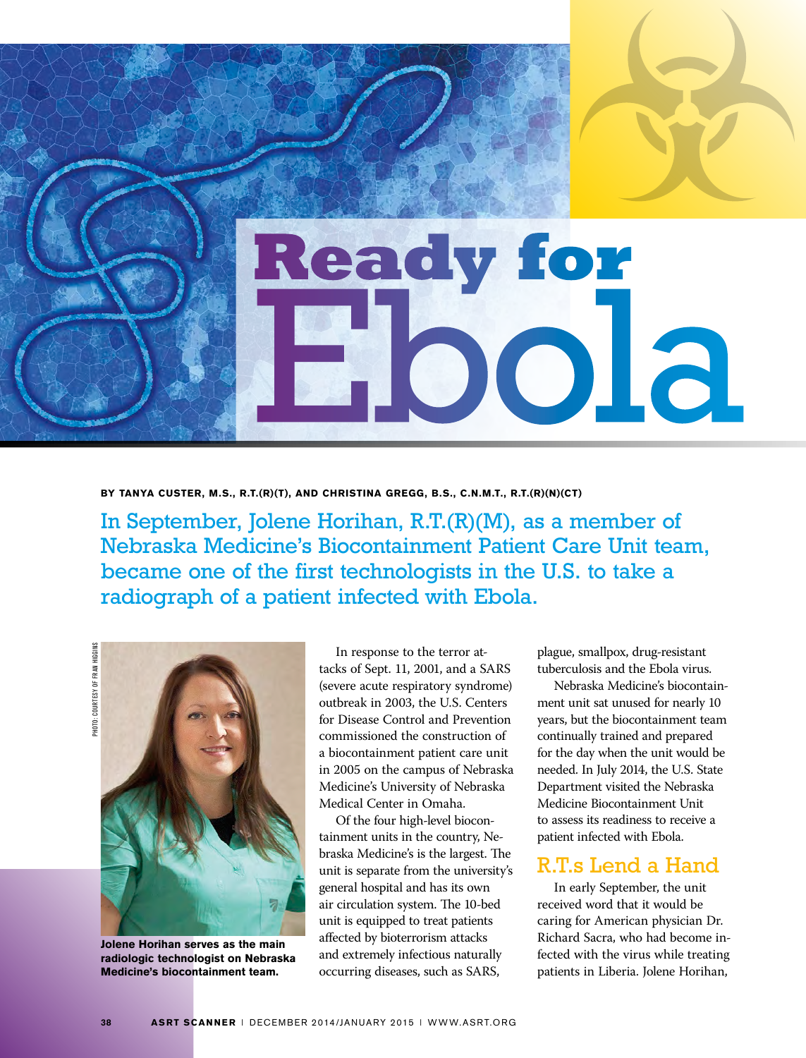

## **BY TANYA CUSTER, M.S., R.T.(R)(T), AND CHRISTINA GREGG, B.S., C.N.M.T., R.T.(R)(N)(CT)**

In September, Jolene Horihan, R.T.(R)(M), as a member of Nebraska Medicine's Biocontainment Patient Care Unit team, became one of the first technologists in the U.S. to take a radiograph of a patient infected with Ebola.

COURTESY OF FRAN HIGGINS PHOTO: COURTESY OF FRAN HIGGINS **PHOTO:** 



**Jolene Horihan serves as the main radiologic technologist on Nebraska Medicine's biocontainment team.**

In response to the terror attacks of Sept. 11, 2001, and a SARS (severe acute respiratory syndrome) outbreak in 2003, the U.S. Centers for Disease Control and Prevention commissioned the construction of a biocontainment patient care unit in 2005 on the campus of Nebraska Medicine's University of Nebraska Medical Center in Omaha.

Of the four high-level biocontainment units in the country, Nebraska Medicine's is the largest. The unit is separate from the university's general hospital and has its own air circulation system. The 10-bed unit is equipped to treat patients affected by bioterrorism attacks and extremely infectious naturally occurring diseases, such as SARS,

plague, smallpox, drug-resistant tuberculosis and the Ebola virus.

Nebraska Medicine's biocontainment unit sat unused for nearly 10 years, but the biocontainment team continually trained and prepared for the day when the unit would be needed. In July 2014, the U.S. State Department visited the Nebraska Medicine Biocontainment Unit to assess its readiness to receive a patient infected with Ebola.

## R.T.s Lend a Hand

In early September, the unit received word that it would be caring for American physician Dr. Richard Sacra, who had become infected with the virus while treating patients in Liberia. Jolene Horihan,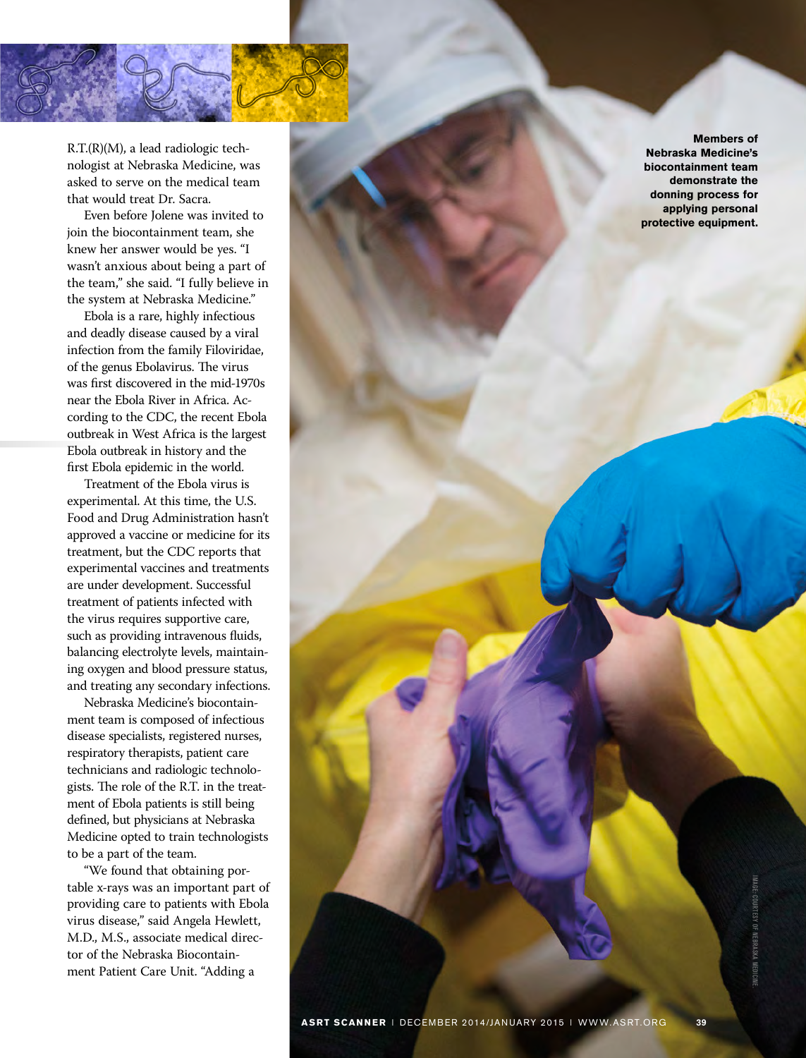R.T.(R)(M), a lead radiologic technologist at Nebraska Medicine, was asked to serve on the medical team that would treat Dr. Sacra.

Even before Jolene was invited to join the biocontainment team, she knew her answer would be yes. "I wasn't anxious about being a part of the team," she said. "I fully believe in the system at Nebraska Medicine."

Ebola is a rare, highly infectious and deadly disease caused by a viral infection from the family Filoviridae, of the genus Ebolavirus. The virus was first discovered in the mid-1970s near the Ebola River in Africa. According to the CDC, the recent Ebola outbreak in West Africa is the largest Ebola outbreak in history and the first Ebola epidemic in the world.

Treatment of the Ebola virus is experimental. At this time, the U.S. Food and Drug Administration hasn't approved a vaccine or medicine for its treatment, but the CDC reports that experimental vaccines and treatments are under development. Successful treatment of patients infected with the virus requires supportive care, such as providing intravenous fluids, balancing electrolyte levels, maintaining oxygen and blood pressure status, and treating any secondary infections.

Nebraska Medicine's biocontainment team is composed of infectious disease specialists, registered nurses, respiratory therapists, patient care technicians and radiologic technologists. The role of the R.T. in the treatment of Ebola patients is still being defined, but physicians at Nebraska Medicine opted to train technologists to be a part of the team.

"We found that obtaining portable x-rays was an important part of providing care to patients with Ebola virus disease," said Angela Hewlett, M.D., M.S., associate medical director of the Nebraska Biocontainment Patient Care Unit. "Adding a

**Members of Nebraska Medicine's biocontainment team demonstrate the donning process for applying personal protective equipment.**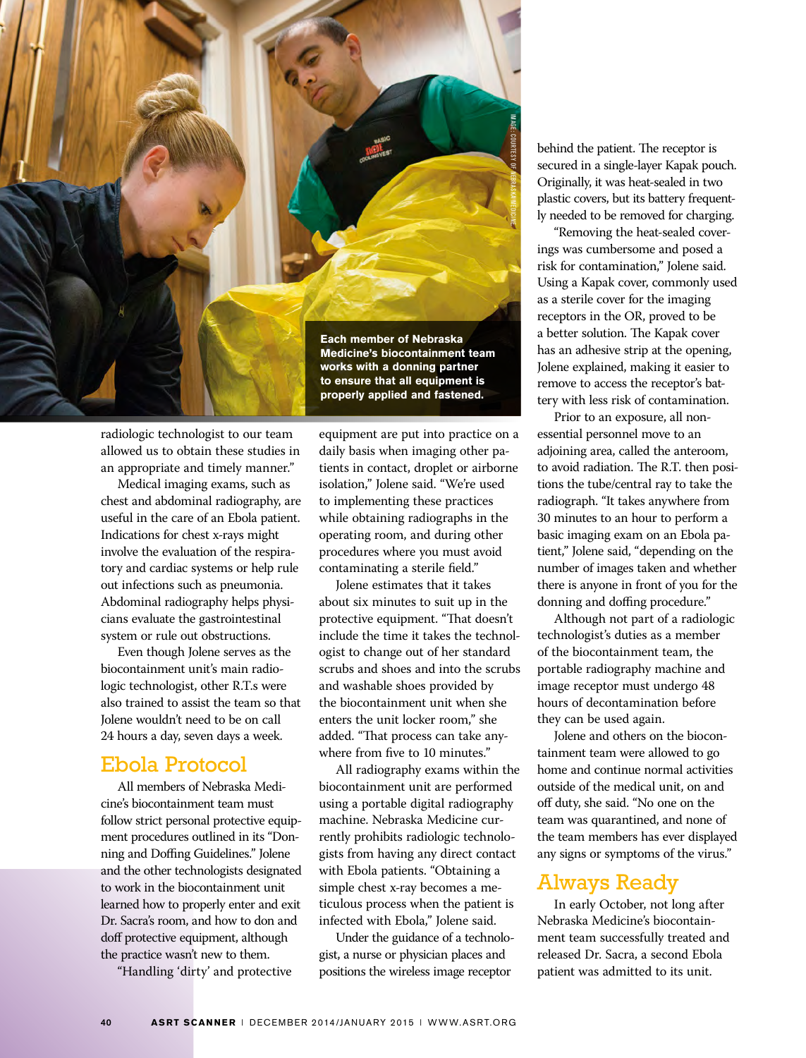

radiologic technologist to our team allowed us to obtain these studies in an appropriate and timely manner."

Medical imaging exams, such as chest and abdominal radiography, are useful in the care of an Ebola patient. Indications for chest x-rays might involve the evaluation of the respiratory and cardiac systems or help rule out infections such as pneumonia. Abdominal radiography helps physicians evaluate the gastrointestinal system or rule out obstructions.

Even though Jolene serves as the biocontainment unit's main radiologic technologist, other R.T.s were also trained to assist the team so that Jolene wouldn't need to be on call 24 hours a day, seven days a week.

## Ebola Protocol

All members of Nebraska Medicine's biocontainment team must follow strict personal protective equipment procedures outlined in its "Donning and Doffing Guidelines." Jolene and the other technologists designated to work in the biocontainment unit learned how to properly enter and exit Dr. Sacra's room, and how to don and doff protective equipment, although the practice wasn't new to them.

"Handling 'dirty' and protective

equipment are put into practice on a daily basis when imaging other patients in contact, droplet or airborne isolation," Jolene said. "We're used to implementing these practices while obtaining radiographs in the operating room, and during other procedures where you must avoid contaminating a sterile field."

Jolene estimates that it takes about six minutes to suit up in the protective equipment. "That doesn't include the time it takes the technologist to change out of her standard scrubs and shoes and into the scrubs and washable shoes provided by the biocontainment unit when she enters the unit locker room," she added. "That process can take anywhere from five to 10 minutes."

All radiography exams within the biocontainment unit are performed using a portable digital radiography machine. Nebraska Medicine currently prohibits radiologic technologists from having any direct contact with Ebola patients. "Obtaining a simple chest x-ray becomes a meticulous process when the patient is infected with Ebola," Jolene said.

Under the guidance of a technologist, a nurse or physician places and positions the wireless image receptor

behind the patient. The receptor is secured in a single-layer Kapak pouch. Originally, it was heat-sealed in two plastic covers, but its battery frequently needed to be removed for charging.

"Removing the heat-sealed coverings was cumbersome and posed a risk for contamination," Jolene said. Using a Kapak cover, commonly used as a sterile cover for the imaging receptors in the OR, proved to be a better solution. The Kapak cover has an adhesive strip at the opening, Jolene explained, making it easier to remove to access the receptor's battery with less risk of contamination.

Prior to an exposure, all nonessential personnel move to an adjoining area, called the anteroom, to avoid radiation. The R.T. then positions the tube/central ray to take the radiograph. "It takes anywhere from 30 minutes to an hour to perform a basic imaging exam on an Ebola patient," Jolene said, "depending on the number of images taken and whether there is anyone in front of you for the donning and doffing procedure."

Although not part of a radiologic technologist's duties as a member of the biocontainment team, the portable radiography machine and image receptor must undergo 48 hours of decontamination before they can be used again.

Jolene and others on the biocontainment team were allowed to go home and continue normal activities outside of the medical unit, on and off duty, she said. "No one on the team was quarantined, and none of the team members has ever displayed any signs or symptoms of the virus."

## Always Ready

In early October, not long after Nebraska Medicine's biocontainment team successfully treated and released Dr. Sacra, a second Ebola patient was admitted to its unit.